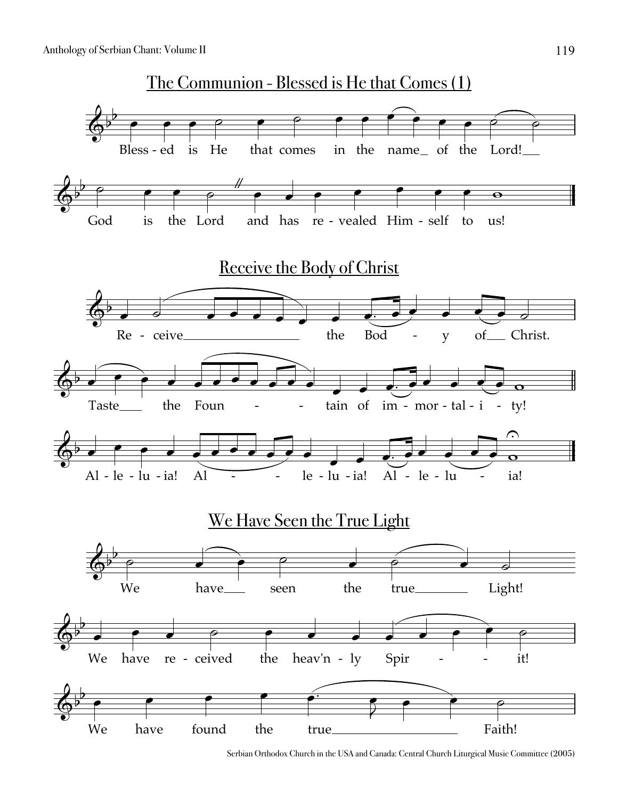

Serbian Orthodox Church in the USA and Canada: Central Church Liturgical Music Committee (2005)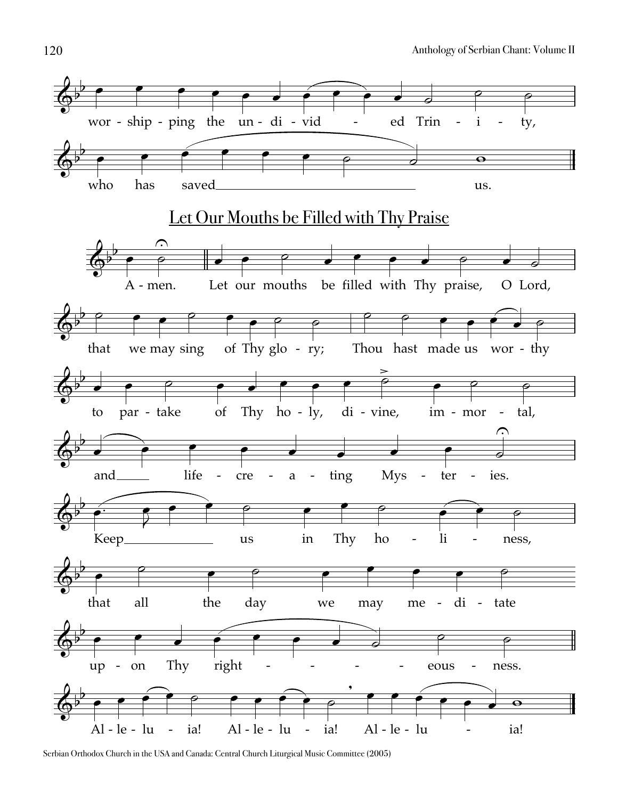

Serbian Orthodox Church in the USA and Canada: Central Church Liturgical Music Committee (2005)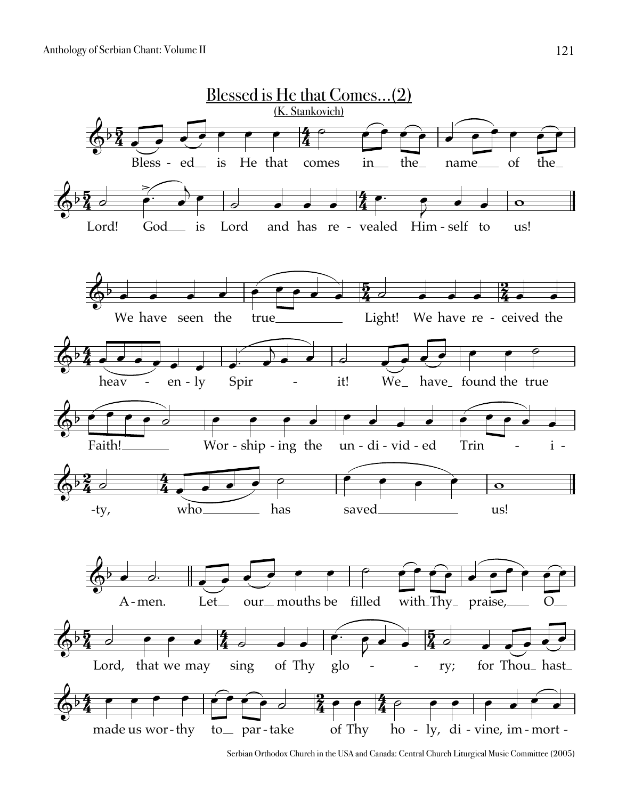Anthology of Serbian Chant: Volume II



Serbian Orthodox Church in the USA and Canada: Central Church Liturgical Music Committee (2005)